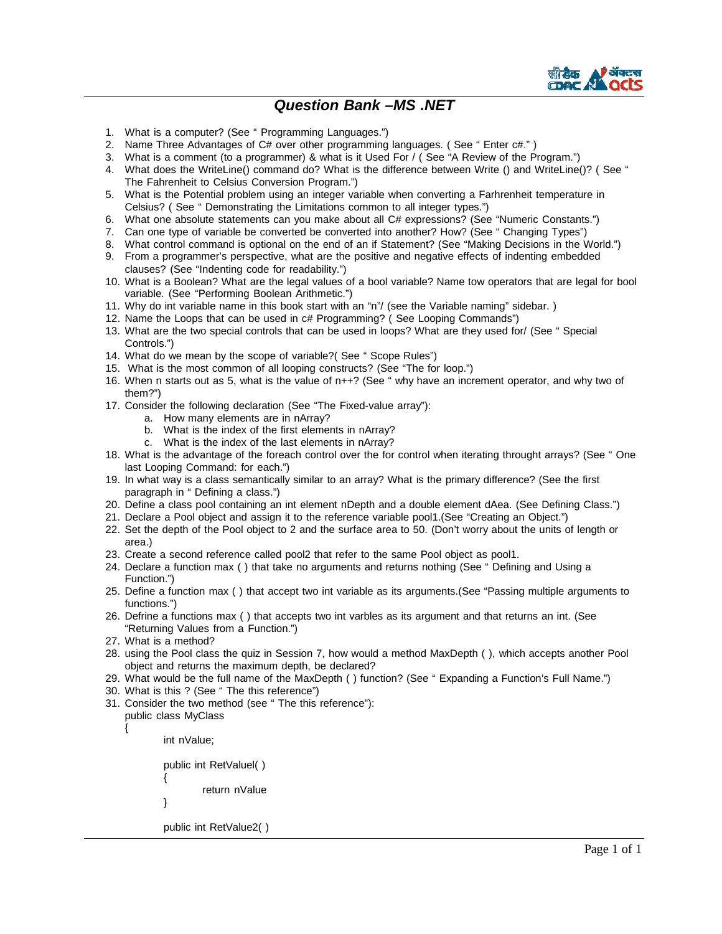

## *Question Bank –MS .NET*

- 1. What is a computer? (See " Programming Languages.")
- 2. Name Three Advantages of C# over other programming languages. (See " Enter c#.")
- 3. What is a comment (to a programmer) & what is it Used For / ( See "A Review of the Program.")
- 4. What does the WriteLine() command do? What is the difference between Write () and WriteLine()? ( See " The Fahrenheit to Celsius Conversion Program.")
- 5. What is the Potential problem using an integer variable when converting a Farhrenheit temperature in Celsius? ( See " Demonstrating the Limitations common to all integer types.")
- 6. What one absolute statements can you make about all C# expressions? (See "Numeric Constants.")
- 7. Can one type of variable be converted be converted into another? How? (See " Changing Types")
- 8. What control command is optional on the end of an if Statement? (See "Making Decisions in the World.")
- 9. From a programmer's perspective, what are the positive and negative effects of indenting embedded clauses? (See "Indenting code for readability.")
- 10. What is a Boolean? What are the legal values of a bool variable? Name tow operators that are legal for bool variable. (See "Performing Boolean Arithmetic.")
- 11. Why do int variable name in this book start with an "n"/ (see the Variable naming" sidebar. )
- 12. Name the Loops that can be used in c# Programming? ( See Looping Commands")
- 13. What are the two special controls that can be used in loops? What are they used for/ (See " Special Controls.")
- 14. What do we mean by the scope of variable?( See " Scope Rules")
- 15. What is the most common of all looping constructs? (See "The for loop.")
- 16. When n starts out as 5, what is the value of n++? (See " why have an increment operator, and why two of them?")
- 17. Consider the following declaration (See "The Fixed-value array"):
	- a. How many elements are in nArray?
	- b. What is the index of the first elements in nArray?
	- c. What is the index of the last elements in nArray?
- 18. What is the advantage of the foreach control over the for control when iterating throught arrays? (See " One last Looping Command: for each.")
- 19. In what way is a class semantically similar to an array? What is the primary difference? (See the first paragraph in " Defining a class.")
- 20. Define a class pool containing an int element nDepth and a double element dAea. (See Defining Class.")
- 21. Declare a Pool object and assign it to the reference variable pool1.(See "Creating an Object.")
- 22. Set the depth of the Pool object to 2 and the surface area to 50. (Don't worry about the units of length or area.)
- 23. Create a second reference called pool2 that refer to the same Pool object as pool1.
- 24. Declare a function max ( ) that take no arguments and returns nothing (See " Defining and Using a Function.")
- 25. Define a function max ( ) that accept two int variable as its arguments.(See "Passing multiple arguments to functions.")
- 26. Defrine a functions max ( ) that accepts two int varbles as its argument and that returns an int. (See "Returning Values from a Function.")
- 27. What is a method?
- 28. using the Pool class the quiz in Session 7, how would a method MaxDepth ( ), which accepts another Pool object and returns the maximum depth, be declared?
- 29. What would be the full name of the MaxDepth ( ) function? (See " Expanding a Function's Full Name.")
- 30. What is this ? (See " The this reference")
- 31. Consider the two method (see " The this reference"):
	- public class MyClass

int nValue;

{

public int RetValuel( ) { return nValue } public int RetValue2( )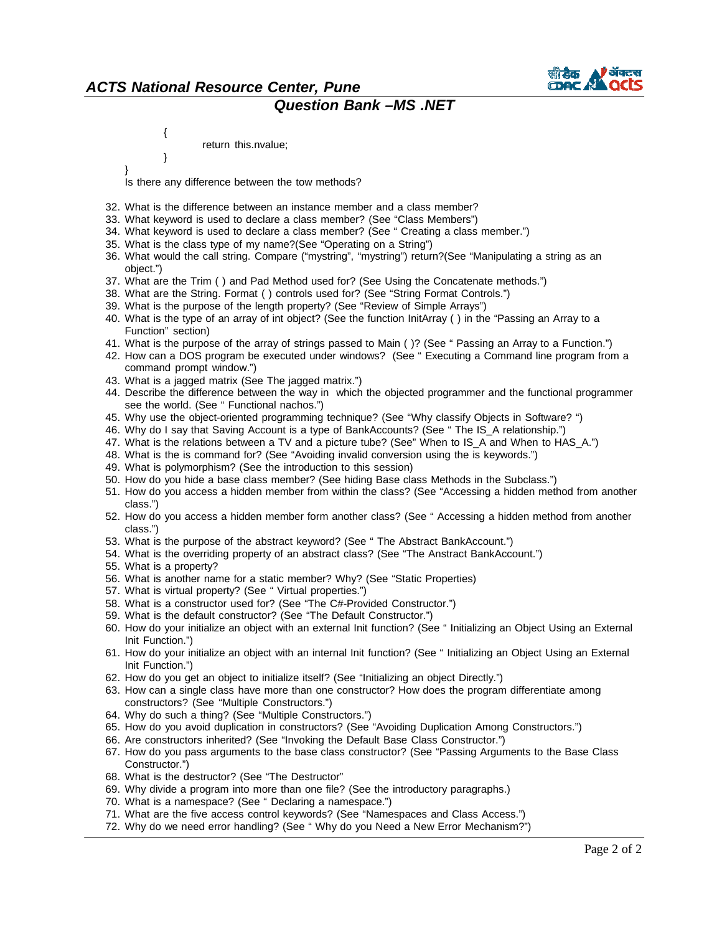

## *ACTS National Resource Center, Pune Question Bank –MS .NET*

return this.nvalue;

}

{

}

Is there any difference between the tow methods?

- 32. What is the difference between an instance member and a class member?
- 33. What keyword is used to declare a class member? (See "Class Members")
- 34. What keyword is used to declare a class member? (See " Creating a class member.")
- 35. What is the class type of my name?(See "Operating on a String")
- 36. What would the call string. Compare ("mystring", "mystring") return?(See "Manipulating a string as an object.")
- 37. What are the Trim ( ) and Pad Method used for? (See Using the Concatenate methods.")
- 38. What are the String. Format ( ) controls used for? (See "String Format Controls.")
- 39. What is the purpose of the length property? (See "Review of Simple Arrays")
- 40. What is the type of an array of int object? (See the function InitArray ( ) in the "Passing an Array to a Function" section)
- 41. What is the purpose of the array of strings passed to Main ( )? (See " Passing an Array to a Function.")
- 42. How can a DOS program be executed under windows? (See " Executing a Command line program from a command prompt window.")
- 43. What is a jagged matrix (See The jagged matrix.")
- 44. Describe the difference between the way in which the objected programmer and the functional programmer see the world. (See " Functional nachos.")
- 45. Why use the object-oriented programming technique? (See "Why classify Objects in Software? ")
- 46. Why do I say that Saving Account is a type of BankAccounts? (See " The IS\_A relationship.")
- 47. What is the relations between a TV and a picture tube? (See" When to IS\_A and When to HAS\_A.")
- 48. What is the is command for? (See "Avoiding invalid conversion using the is keywords.")
- 49. What is polymorphism? (See the introduction to this session)
- 50. How do you hide a base class member? (See hiding Base class Methods in the Subclass.")
- 51. How do you access a hidden member from within the class? (See "Accessing a hidden method from another class.")
- 52. How do you access a hidden member form another class? (See " Accessing a hidden method from another class.")
- 53. What is the purpose of the abstract keyword? (See " The Abstract BankAccount.")
- 54. What is the overriding property of an abstract class? (See "The Anstract BankAccount.")
- 55. What is a property?
- 56. What is another name for a static member? Why? (See "Static Properties)
- 57. What is virtual property? (See " Virtual properties.")
- 58. What is a constructor used for? (See "The C#-Provided Constructor.")
- 59. What is the default constructor? (See "The Default Constructor.")
- 60. How do your initialize an object with an external Init function? (See " Initializing an Object Using an External Init Function.")
- 61. How do your initialize an object with an internal Init function? (See " Initializing an Object Using an External Init Function.")
- 62. How do you get an object to initialize itself? (See "Initializing an object Directly.")
- 63. How can a single class have more than one constructor? How does the program differentiate among constructors? (See "Multiple Constructors.")
- 64. Why do such a thing? (See "Multiple Constructors.")
- 65. How do you avoid duplication in constructors? (See "Avoiding Duplication Among Constructors.")
- 66. Are constructors inherited? (See "Invoking the Default Base Class Constructor.")
- 67. How do you pass arguments to the base class constructor? (See "Passing Arguments to the Base Class Constructor.")
- 68. What is the destructor? (See "The Destructor"
- 69. Why divide a program into more than one file? (See the introductory paragraphs.)
- 70. What is a namespace? (See " Declaring a namespace.")
- 71. What are the five access control keywords? (See "Namespaces and Class Access.")
- 72. Why do we need error handling? (See " Why do you Need a New Error Mechanism?")